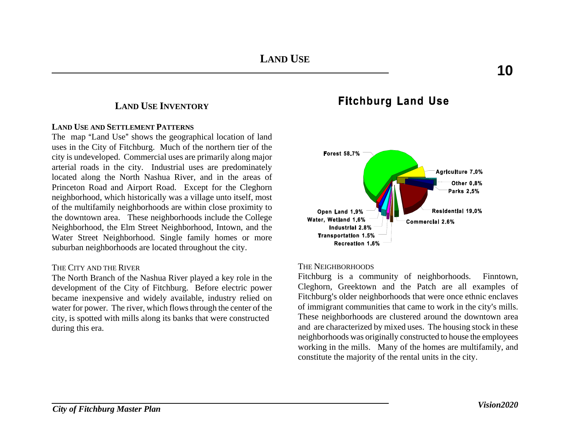## **LAND USE INVENTORY**

## **LAND USE AND SETTLEMENT PATTERNS**

The map "Land Use" shows the geographical location of land uses in the City of Fitchburg. Much of the northern tier of the city is undeveloped. Commercial uses are primarily along major arterial roads in the city. Industrial uses are predominately located along the North Nashua River, and in the areas of Princeton Road and Airport Road. Except for the Cleghorn neighborhood, which historically was a village unto itself, most of the multifamily neighborhoods are within close proximity to the downtown area. These neighborhoods include the College Neighborhood, the Elm Street Neighborhood, Intown, and the Water Street Neighborhood. Single family homes or more suburban neighborhoods are located throughout the city.

## THE CITY AND THE RIVER

The North Branch of the Nashua River played a key role in the development of the City of Fitchburg. Before electric power became inexpensive and widely available, industry relied on water for power. The river, which flows through the center of the city, is spotted with mills along its banks that were constructed during this era.

# **Fitchburg Land Use**



#### THE NEIGHBORHOODS

Fitchburg is a community of neighborhoods. Finntown, Cleghorn, Greektown and the Patch are all examples of Fitchburg's older neighborhoods that were once ethnic enclaves of immigrant communities that came to work in the city's mills. These neighborhoods are clustered around the downtown area and are characterized by mixed uses. The housing stock in these neighborhoods was originally constructed to house the employees working in the mills. Many of the homes are multifamily, and constitute the majority of the rental units in the city.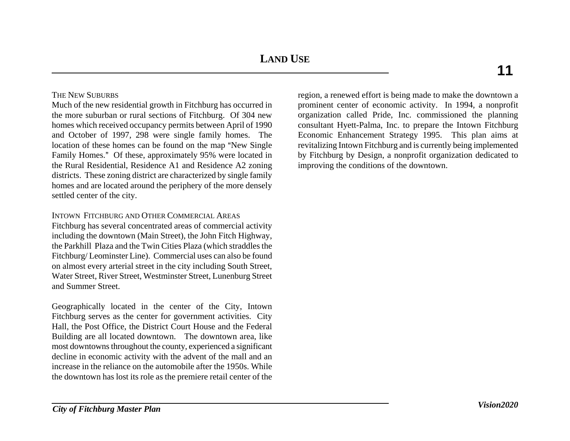**LAND USE**

## THE NEW SUBURBS

Much of the new residential growth in Fitchburg has occurred in the more suburban or rural sections of Fitchburg. Of 304 new homes which received occupancy permits between April of 1990 and October of 1997, 298 were single family homes. The location of these homes can be found on the map "New Single Family Homes." Of these, approximately 95% were located in the Rural Residential, Residence A1 and Residence A2 zoning districts. These zoning district are characterized by single family homes and are located around the periphery of the more densely settled center of the city.

## INTOWN FITCHBURG AND OTHER COMMERCIAL AREAS

Fitchburg has several concentrated areas of commercial activity including the downtown (Main Street), the John Fitch Highway, the Parkhill Plaza and the Twin Cities Plaza (which straddles the Fitchburg/ Leominster Line). Commercial uses can also be found on almost every arterial street in the city including South Street, Water Street, River Street, Westminster Street, Lunenburg Street and Summer Street.

Geographically located in the center of the City, Intown Fitchburg serves as the center for government activities. City Hall, the Post Office, the District Court House and the Federal Building are all located downtown. The downtown area, like most downtowns throughout the county, experienced a significant decline in economic activity with the advent of the mall and an increase in the reliance on the automobile after the 1950s. While the downtown has lost its role as the premiere retail center of the

region, a renewed effort is being made to make the downtown a prominent center of economic activity. In 1994, a nonprofit organization called Pride, Inc. commissioned the planning consultant Hyett-Palma, Inc. to prepare the Intown Fitchburg Economic Enhancement Strategy 1995. This plan aims at revitalizing Intown Fitchburg and is currently being implemented by Fitchburg by Design, a nonprofit organization dedicated to improving the conditions of the downtown.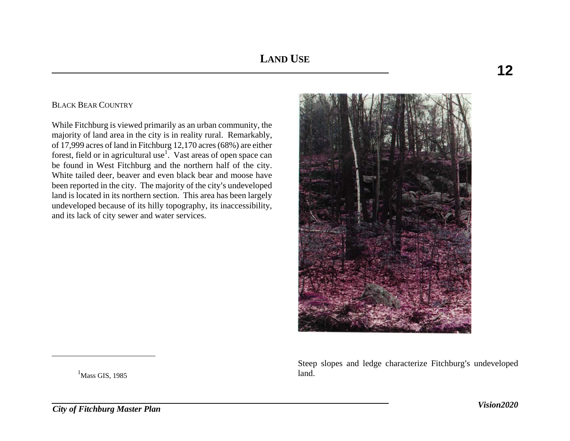## BLACK BEAR COUNTRY

While Fitchburg is viewed primarily as an urban community, the majority of land area in the city is in reality rural. Remarkably, of 17,999 acres of land in Fitchburg 12,170 acres (68%) are either forest, field or in agricultural use<sup>1</sup>. Vast areas of open space can be found in West Fitchburg and the northern half of the city. White tailed deer, beaver and even black bear and moose have been reported in the city. The majority of the city's undeveloped land is located in its northern section. This area has been largely undeveloped because of its hilly topography, its inaccessibility, and its lack of city sewer and water services.



Steep slopes and ledge characterize Fitchburg's undeveloped land.

 $<sup>1</sup>$ Mass GIS, 1985</sup>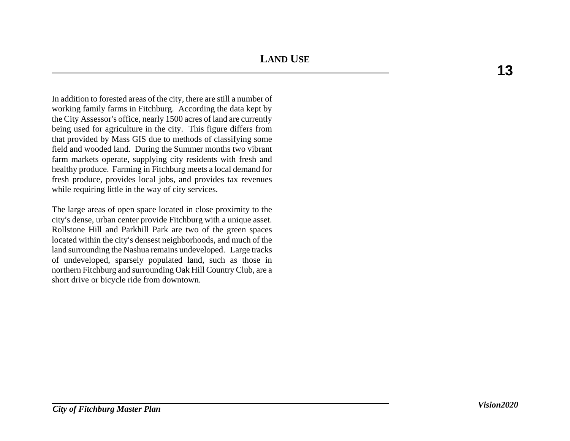In addition to forested areas of the city, there are still a number of working family farms in Fitchburg. According the data kept by the City Assessor's office, nearly 1500 acres of land are currently being used for agriculture in the city. This figure differs from that provided by Mass GIS due to methods of classifying some field and wooded land. During the Summer months two vibrant farm markets operate, supplying city residents with fresh and healthy produce. Farming in Fitchburg meets a local demand for fresh produce, provides local jobs, and provides tax revenues while requiring little in the way of city services.

The large areas of open space located in close proximity to the city's dense, urban center provide Fitchburg with a unique asset. Rollstone Hill and Parkhill Park are two of the green spaces located within the city's densest neighborhoods, and much of the land surrounding the Nashua remains undeveloped. Large tracks of undeveloped, sparsely populated land, such as those in northern Fitchburg and surrounding Oak Hill Country Club, are a short drive or bicycle ride from downtown.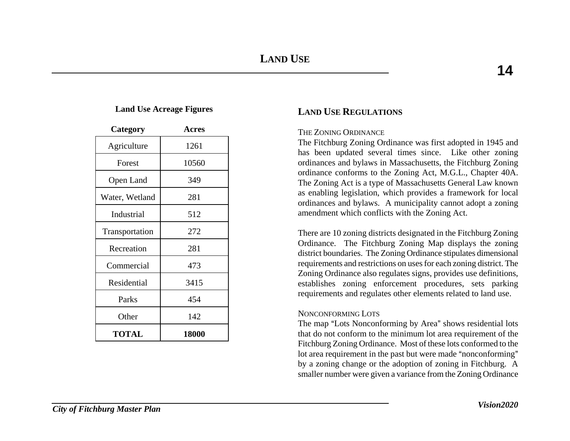## **Land Use Acreage Figures**

| Category       | <b>Acres</b> |  |  |  |
|----------------|--------------|--|--|--|
| Agriculture    | 1261         |  |  |  |
| Forest         | 10560        |  |  |  |
| Open Land      | 349          |  |  |  |
| Water, Wetland | 281          |  |  |  |
| Industrial     | 512          |  |  |  |
| Transportation | 272          |  |  |  |
| Recreation     | 281          |  |  |  |
| Commercial     | 473          |  |  |  |
| Residential    | 3415         |  |  |  |
| Parks          | 454          |  |  |  |
| Other          | 142          |  |  |  |
| TOTAL          | 18000        |  |  |  |

# **LAND USE REGULATIONS**

## THE ZONING ORDINANCE

The Fitchburg Zoning Ordinance was first adopted in 1945 and has been updated several times since. Like other zoning ordinances and bylaws in Massachusetts, the Fitchburg Zoning ordinance conforms to the Zoning Act, M.G.L., Chapter 40A. The Zoning Act is a type of Massachusetts General Law known as enabling legislation, which provides a framework for local ordinances and bylaws. A municipality cannot adopt a zoning amendment which conflicts with the Zoning Act.

There are 10 zoning districts designated in the Fitchburg Zoning Ordinance. The Fitchburg Zoning Map displays the zoning district boundaries. The Zoning Ordinance stipulates dimensional requirements and restrictions on uses for each zoning district. The Zoning Ordinance also regulates signs, provides use definitions, establishes zoning enforcement procedures, sets parking requirements and regulates other elements related to land use.

## NONCONFORMING LOTS

The map "Lots Nonconforming by Area" shows residential lots that do not conform to the minimum lot area requirement of the Fitchburg Zoning Ordinance. Most of these lots conformed to the lot area requirement in the past but were made "nonconforming" by a zoning change or the adoption of zoning in Fitchburg. A smaller number were given a variance from the Zoning Ordinance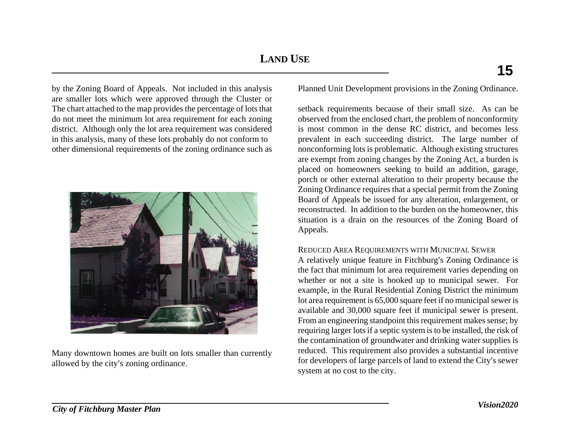by the Zoning Board of Appeals. Not included in this analysis are smaller lots which were approved through the Cluster or The chart attached to the map provides the percentage of lots that do not meet the minimum lot area requirement for each zoning district. Although only the lot area requirement was considered in this analysis, many of these lots probably do not conform to other dimensional requirements of the zoning ordinance such as



Many downtown homes are built on lots smaller than currently allowed by the city's zoning ordinance.

Planned Unit Development provisions in the Zoning Ordinance.

setback requirements because of their small size. As can be observed from the enclosed chart, the problem of nonconformity is most common in the dense RC district, and becomes less prevalent in each succeeding district. The large number of nonconforming lots is problematic. Although existing structures are exempt from zoning changes by the Zoning Act, a burden is placed on homeowners seeking to build an addition, garage, porch or other external alteration to their property because the Zoning Ordinance requires that a special permit from the Zoning Board of Appeals be issued for any alteration, enlargement, or reconstructed. In addition to the burden on the homeowner, this situation is a drain on the resources of the Zoning Board of Appeals.

## REDUCED AREA REQUIREMENTS WITH MUNICIPAL SEWER

A relatively unique feature in Fitchburg's Zoning Ordinance is the fact that minimum lot area requirement varies depending on whether or not a site is hooked up to municipal sewer. For example, in the Rural Residential Zoning District the minimum lot area requirement is 65,000 square feet if no municipal sewer is available and 30,000 square feet if municipal sewer is present. From an engineering standpoint this requirement makes sense; by requiring larger lots if a septic system is to be installed, the risk of the contamination of groundwater and drinking water supplies is reduced. This requirement also provides a substantial incentive for developers of large parcels of land to extend the City's sewer system at no cost to the city.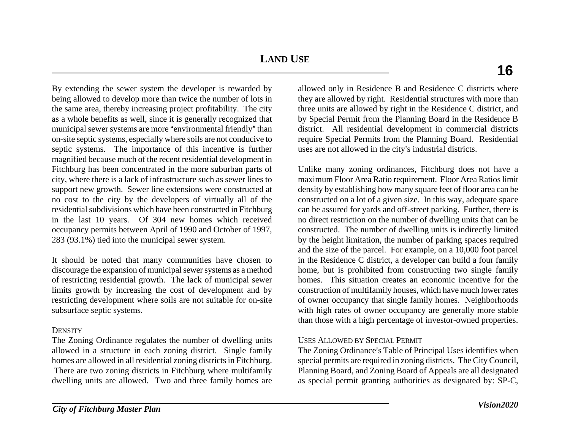**LAND USE**

By extending the sewer system the developer is rewarded by being allowed to develop more than twice the number of lots in the same area, thereby increasing project profitability. The city as a whole benefits as well, since it is generally recognized that municipal sewer systems are more "environmental friendly" than on-site septic systems, especially where soils are not conducive to septic systems. The importance of this incentive is further magnified because much of the recent residential development in Fitchburg has been concentrated in the more suburban parts of city, where there is a lack of infrastructure such as sewer lines to support new growth. Sewer line extensions were constructed at no cost to the city by the developers of virtually all of the residential subdivisions which have been constructed in Fitchburg in the last 10 years. Of 304 new homes which received occupancy permits between April of 1990 and October of 1997, 283 (93.1%) tied into the municipal sewer system.

It should be noted that many communities have chosen to discourage the expansion of municipal sewer systems as a method of restricting residential growth. The lack of municipal sewer limits growth by increasing the cost of development and by restricting development where soils are not suitable for on-site subsurface septic systems.

## **DENSITY**

The Zoning Ordinance regulates the number of dwelling units allowed in a structure in each zoning district. Single family homes are allowed in all residential zoning districts in Fitchburg. There are two zoning districts in Fitchburg where multifamily dwelling units are allowed. Two and three family homes are

allowed only in Residence B and Residence C districts where they are allowed by right. Residential structures with more than three units are allowed by right in the Residence C district, and by Special Permit from the Planning Board in the Residence B district. All residential development in commercial districts require Special Permits from the Planning Board. Residential uses are not allowed in the city's industrial districts.

Unlike many zoning ordinances, Fitchburg does not have a maximum Floor Area Ratio requirement. Floor Area Ratios limit density by establishing how many square feet of floor area can be constructed on a lot of a given size. In this way, adequate space can be assured for yards and off-street parking. Further, there is no direct restriction on the number of dwelling units that can be constructed. The number of dwelling units is indirectly limited by the height limitation, the number of parking spaces required and the size of the parcel. For example, on a 10,000 foot parcel in the Residence C district, a developer can build a four family home, but is prohibited from constructing two single family homes. This situation creates an economic incentive for the construction of multifamily houses, which have much lower rates of owner occupancy that single family homes. Neighborhoods with high rates of owner occupancy are generally more stable than those with a high percentage of investor-owned properties.

## USES ALLOWED BY SPECIAL PERMIT

The Zoning Ordinance's Table of Principal Uses identifies when special permits are required in zoning districts. The City Council, Planning Board, and Zoning Board of Appeals are all designated as special permit granting authorities as designated by: SP-C,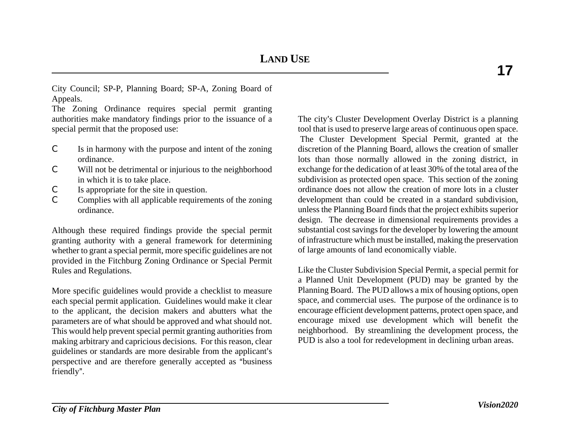City Council; SP-P, Planning Board; SP-A, Zoning Board of Appeals.

The Zoning Ordinance requires special permit granting authorities make mandatory findings prior to the issuance of a special permit that the proposed use:

- $\mathcal{C}$  Is in harmony with the purpose and intent of the zoning ordinance.
- C Will not be detrimental or injurious to the neighborhood in which it is to take place.
- C Is appropriate for the site in question.
- C Complies with all applicable requirements of the zoning ordinance.

Although these required findings provide the special permit granting authority with a general framework for determining whether to grant a special permit, more specific guidelines are not provided in the Fitchburg Zoning Ordinance or Special Permit Rules and Regulations.

More specific guidelines would provide a checklist to measure each special permit application. Guidelines would make it clear to the applicant, the decision makers and abutters what the parameters are of what should be approved and what should not. This would help prevent special permit granting authorities from making arbitrary and capricious decisions. For this reason, clear guidelines or standards are more desirable from the applicant's perspective and are therefore generally accepted as "business" friendly".

The city's Cluster Development Overlay District is a planning tool that is used to preserve large areas of continuous open space. The Cluster Development Special Permit, granted at the discretion of the Planning Board, allows the creation of smaller lots than those normally allowed in the zoning district, in exchange for the dedication of at least 30% of the total area of the subdivision as protected open space. This section of the zoning ordinance does not allow the creation of more lots in a cluster development than could be created in a standard subdivision, unless the Planning Board finds that the project exhibits superior design. The decrease in dimensional requirements provides a substantial cost savings for the developer by lowering the amount of infrastructure which must be installed, making the preservation of large amounts of land economically viable.

Like the Cluster Subdivision Special Permit, a special permit for a Planned Unit Development (PUD) may be granted by the Planning Board. The PUD allows a mix of housing options, open space, and commercial uses. The purpose of the ordinance is to encourage efficient development patterns, protect open space, and encourage mixed use development which will benefit the neighborhood. By streamlining the development process, the PUD is also a tool for redevelopment in declining urban areas.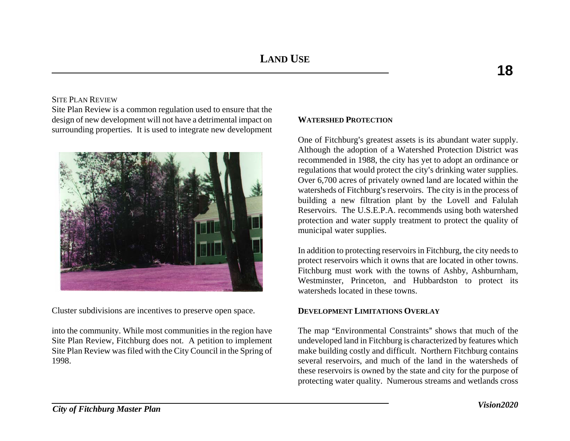## SITE PLAN REVIEW

Site Plan Review is a common regulation used to ensure that the design of new development will not have a detrimental impact on surrounding properties. It is used to integrate new development



Cluster subdivisions are incentives to preserve open space.

into the community. While most communities in the region have Site Plan Review, Fitchburg does not. A petition to implement Site Plan Review was filed with the City Council in the Spring of 1998.

## **WATERSHED PROTECTION**

One of Fitchburg's greatest assets is its abundant water supply. Although the adoption of a Watershed Protection District was recommended in 1988, the city has yet to adopt an ordinance or regulations that would protect the city's drinking water supplies. Over 6,700 acres of privately owned land are located within the watersheds of Fitchburg's reservoirs. The city is in the process of building a new filtration plant by the Lovell and Falulah Reservoirs. The U.S.E.P.A. recommends using both watershed protection and water supply treatment to protect the quality of municipal water supplies.

In addition to protecting reservoirs in Fitchburg, the city needs to protect reservoirs which it owns that are located in other towns. Fitchburg must work with the towns of Ashby, Ashburnham, Westminster, Princeton, and Hubbardston to protect its watersheds located in these towns.

## **DEVELOPMENT LIMITATIONS OVERLAY**

The map "Environmental Constraints" shows that much of the undeveloped land in Fitchburg is characterized by features which make building costly and difficult. Northern Fitchburg contains several reservoirs, and much of the land in the watersheds of these reservoirs is owned by the state and city for the purpose of protecting water quality. Numerous streams and wetlands cross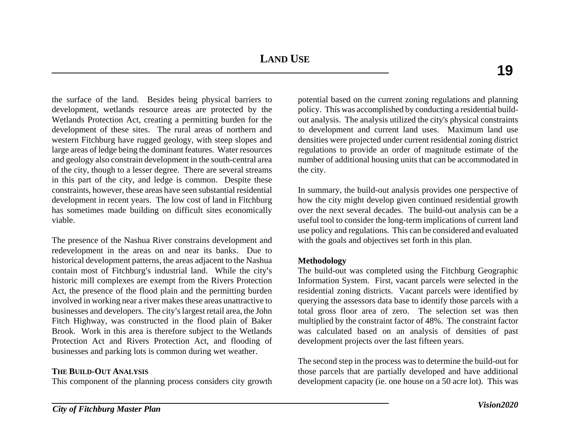the surface of the land. Besides being physical barriers to development, wetlands resource areas are protected by the Wetlands Protection Act, creating a permitting burden for the development of these sites. The rural areas of northern and western Fitchburg have rugged geology, with steep slopes and large areas of ledge being the dominant features. Water resources and geology also constrain development in the south-central area of the city, though to a lesser degree. There are several streams in this part of the city, and ledge is common. Despite these constraints, however, these areas have seen substantial residential development in recent years. The low cost of land in Fitchburg has sometimes made building on difficult sites economically viable.

The presence of the Nashua River constrains development and redevelopment in the areas on and near its banks. Due to historical development patterns, the areas adjacent to the Nashua contain most of Fitchburg's industrial land. While the city's historic mill complexes are exempt from the Rivers Protection Act, the presence of the flood plain and the permitting burden involved in working near a river makes these areas unattractive to businesses and developers. The city's largest retail area, the John Fitch Highway, was constructed in the flood plain of Baker Brook. Work in this area is therefore subject to the Wetlands Protection Act and Rivers Protection Act, and flooding of businesses and parking lots is common during wet weather.

## **THE BUILD-OUT ANALYSIS**

This component of the planning process considers city growth

potential based on the current zoning regulations and planning policy. This was accomplished by conducting a residential buildout analysis. The analysis utilized the city's physical constraints to development and current land uses. Maximum land use densities were projected under current residential zoning district regulations to provide an order of magnitude estimate of the number of additional housing units that can be accommodated in the city.

In summary, the build-out analysis provides one perspective of how the city might develop given continued residential growth over the next several decades. The build-out analysis can be a useful tool to consider the long-term implications of current land use policy and regulations. This can be considered and evaluated with the goals and objectives set forth in this plan.

## **Methodology**

The build-out was completed using the Fitchburg Geographic Information System. First, vacant parcels were selected in the residential zoning districts. Vacant parcels were identified by querying the assessors data base to identify those parcels with a total gross floor area of zero. The selection set was then multiplied by the constraint factor of 48%. The constraint factor was calculated based on an analysis of densities of past development projects over the last fifteen years.

The second step in the process was to determine the build-out for those parcels that are partially developed and have additional development capacity (ie. one house on a 50 acre lot). This was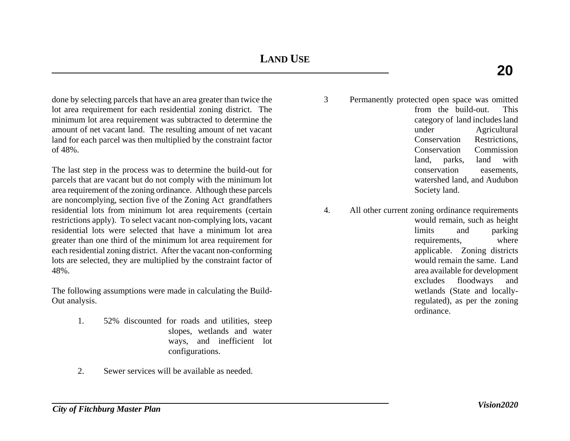done by selecting parcels that have an area greater than twice the lot area requirement for each residential zoning district. The minimum lot area requirement was subtracted to determine the amount of net vacant land. The resulting amount of net vacant land for each parcel was then multiplied by the constraint factor of 48%.

The last step in the process was to determine the build-out for parcels that are vacant but do not comply with the minimum lot area requirement of the zoning ordinance. Although these parcels are noncomplying, section five of the Zoning Act grandfathers residential lots from minimum lot area requirements (certain restrictions apply). To select vacant non-complying lots, vacant residential lots were selected that have a minimum lot area greater than one third of the minimum lot area requirement for each residential zoning district. After the vacant non-conforming lots are selected, they are multiplied by the constraint factor of 48%.

The following assumptions were made in calculating the Build-Out analysis.

- 1. 52% discounted for roads and utilities, steep slopes, wetlands and water ways, and inefficient lot configurations.
- 2. Sewer services will be available as needed.
- 3 Permanently protected open space was omitted from the build-out. This category of land includes land under Agricultural Conservation Restrictions, Conservation Commission land, parks, land with conservation easements, watershed land, and Audubon Society land.
- 4. All other current zoning ordinance requirements would remain, such as height limits and parking requirements, where applicable. Zoning districts would remain the same. Land area available for development excludes floodways and wetlands (State and locallyregulated), as per the zoning ordinance.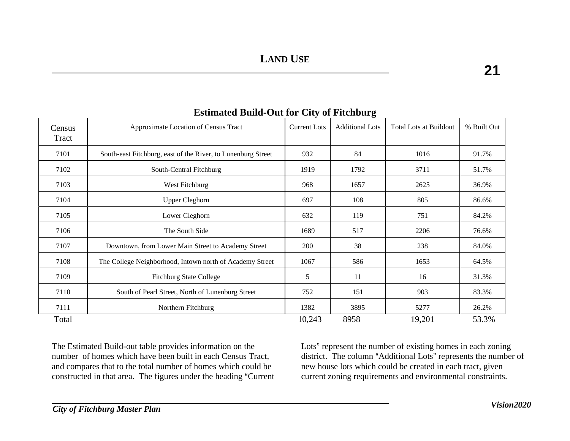| <b>Estimated Build-Out for City of Fitchburg</b> |                                                              |                     |                        |                               |             |  |  |
|--------------------------------------------------|--------------------------------------------------------------|---------------------|------------------------|-------------------------------|-------------|--|--|
| Census<br>Tract                                  | Approximate Location of Census Tract                         | <b>Current Lots</b> | <b>Additional Lots</b> | <b>Total Lots at Buildout</b> | % Built Out |  |  |
| 7101                                             | South-east Fitchburg, east of the River, to Lunenburg Street | 932                 | 84                     | 1016                          | 91.7%       |  |  |
| 7102                                             | South-Central Fitchburg                                      | 1919                | 1792                   | 3711                          | 51.7%       |  |  |
| 7103                                             | West Fitchburg                                               | 968                 | 1657                   | 2625                          | 36.9%       |  |  |
| 7104                                             | <b>Upper Cleghorn</b>                                        | 697                 | 108                    | 805                           | 86.6%       |  |  |
| 7105                                             | Lower Cleghorn                                               | 632                 | 119                    | 751                           | 84.2%       |  |  |
| 7106                                             | The South Side                                               | 1689                | 517                    | 2206                          | 76.6%       |  |  |
| 7107                                             | Downtown, from Lower Main Street to Academy Street           | 200                 | 38                     | 238                           | 84.0%       |  |  |
| 7108                                             | The College Neighborhood, Intown north of Academy Street     | 1067                | 586                    | 1653                          | 64.5%       |  |  |
| 7109                                             | <b>Fitchburg State College</b>                               | 5                   | 11                     | 16                            | 31.3%       |  |  |
| 7110                                             | South of Pearl Street, North of Lunenburg Street             | 752                 | 151                    | 903                           | 83.3%       |  |  |
| 7111                                             | Northern Fitchburg                                           | 1382                | 3895                   | 5277                          | 26.2%       |  |  |
| Total                                            |                                                              | 10,243              | 8958                   | 19,201                        | 53.3%       |  |  |

Total

The Estimated Build-out table provides information on the number of homes which have been built in each Census Tract, and compares that to the total number of homes which could be constructed in that area. The figures under the heading "Current Lots" represent the number of existing homes in each zoning district. The column "Additional Lots" represents the number of new house lots which could be created in each tract, given current zoning requirements and environmental constraints.

 $21$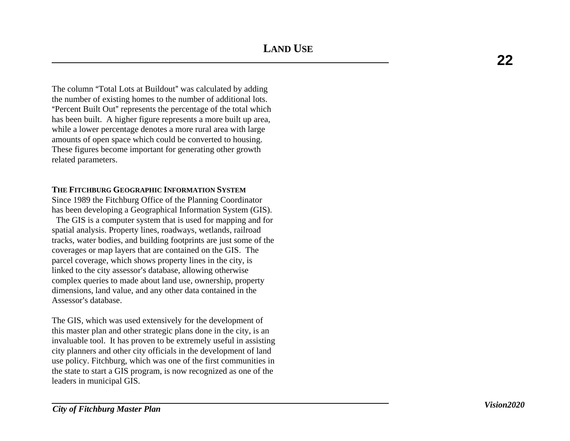The column "Total Lots at Buildout" was calculated by adding the number of existing homes to the number of additional lots. "Percent Built Out" represents the percentage of the total which has been built. A higher figure represents a more built up area, while a lower percentage denotes a more rural area with large amounts of open space which could be converted to housing. These figures become important for generating other growth related parameters.

## **THE FITCHBURG GEOGRAPHIC INFORMATION SYSTEM**

Since 1989 the Fitchburg Office of the Planning Coordinator has been developing a Geographical Information System (GIS).

 The GIS is a computer system that is used for mapping and for spatial analysis. Property lines, roadways, wetlands, railroad tracks, water bodies, and building footprints are just some of the coverages or map layers that are contained on the GIS. The parcel coverage, which shows property lines in the city, is linked to the city assessor's database, allowing otherwise complex queries to made about land use, ownership, property dimensions, land value, and any other data contained in the Assessor's database.

The GIS, which was used extensively for the development of this master plan and other strategic plans done in the city, is an invaluable tool. It has proven to be extremely useful in assisting city planners and other city officials in the development of land use policy. Fitchburg, which was one of the first communities in the state to start a GIS program, is now recognized as one of the leaders in municipal GIS.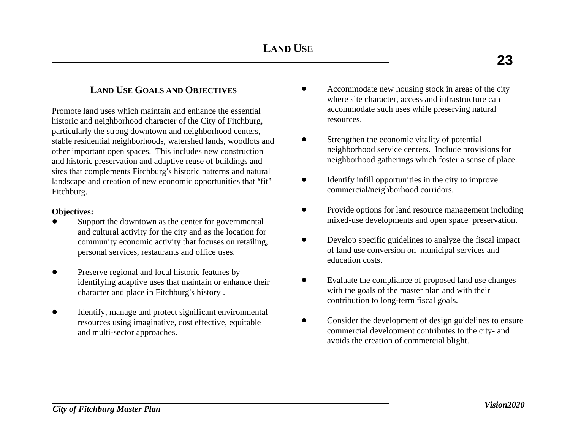# **LAND USE GOALS AND OBJECTIVES**

Promote land uses which maintain and enhance the essential historic and neighborhood character of the City of Fitchburg, particularly the strong downtown and neighborhood centers, stable residential neighborhoods, watershed lands, woodlots and other important open spaces. This includes new construction and historic preservation and adaptive reuse of buildings and sites that complements Fitchburg's historic patterns and natural landscape and creation of new economic opportunities that "fit" Fitchburg.

## **Objectives:**

- Support the downtown as the center for governmental and cultural activity for the city and as the location for community economic activity that focuses on retailing, personal services, restaurants and office uses.
- Preserve regional and local historic features by identifying adaptive uses that maintain or enhance their character and place in Fitchburg's history .
- ! Identify, manage and protect significant environmental resources using imaginative, cost effective, equitable and multi-sector approaches.
- ! Accommodate new housing stock in areas of the city where site character, access and infrastructure can accommodate such uses while preserving natural resources.
- Strengthen the economic vitality of potential neighborhood service centers. Include provisions for neighborhood gatherings which foster a sense of place.
- Identify infill opportunities in the city to improve commercial/neighborhood corridors.
- Provide options for land resource management including mixed-use developments and open space preservation.
- Develop specific guidelines to analyze the fiscal impact of land use conversion on municipal services and education costs.
- ! Evaluate the compliance of proposed land use changes with the goals of the master plan and with their contribution to long-term fiscal goals.
- ! Consider the development of design guidelines to ensure commercial development contributes to the city- and avoids the creation of commercial blight.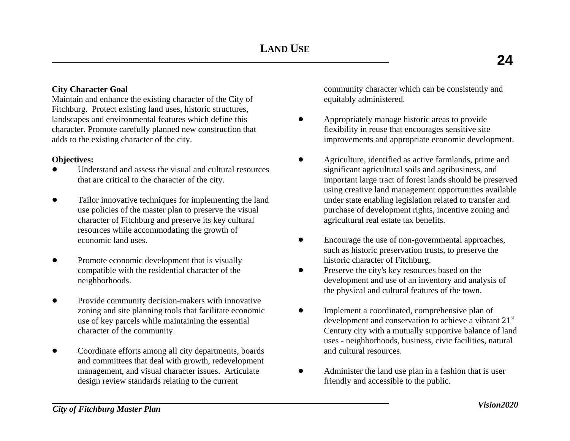## **City Character Goal**

Maintain and enhance the existing character of the City of Fitchburg. Protect existing land uses, historic structures, landscapes and environmental features which define this character. Promote carefully planned new construction that adds to the existing character of the city.

## **Objectives:**

- ! Understand and assess the visual and cultural resources that are critical to the character of the city.
- ! Tailor innovative techniques for implementing the land use policies of the master plan to preserve the visual character of Fitchburg and preserve its key cultural resources while accommodating the growth of economic land uses.
- Promote economic development that is visually compatible with the residential character of the neighborhoods.
- Provide community decision-makers with innovative zoning and site planning tools that facilitate economic use of key parcels while maintaining the essential character of the community.
- ! Coordinate efforts among all city departments, boards and committees that deal with growth, redevelopment management, and visual character issues. Articulate design review standards relating to the current

community character which can be consistently and equitably administered.

- Appropriately manage historic areas to provide flexibility in reuse that encourages sensitive site improvements and appropriate economic development.
- ! Agriculture, identified as active farmlands, prime and significant agricultural soils and agribusiness, and important large tract of forest lands should be preserved using creative land management opportunities available under state enabling legislation related to transfer and purchase of development rights, incentive zoning and agricultural real estate tax benefits.
- Encourage the use of non-governmental approaches, such as historic preservation trusts, to preserve the historic character of Fitchburg.
- Preserve the city's key resources based on the development and use of an inventory and analysis of the physical and cultural features of the town.
- Implement a coordinated, comprehensive plan of development and conservation to achieve a vibrant 21<sup>st</sup> Century city with a mutually supportive balance of land uses - neighborhoods, business, civic facilities, natural and cultural resources.
- ! Administer the land use plan in a fashion that is user friendly and accessible to the public.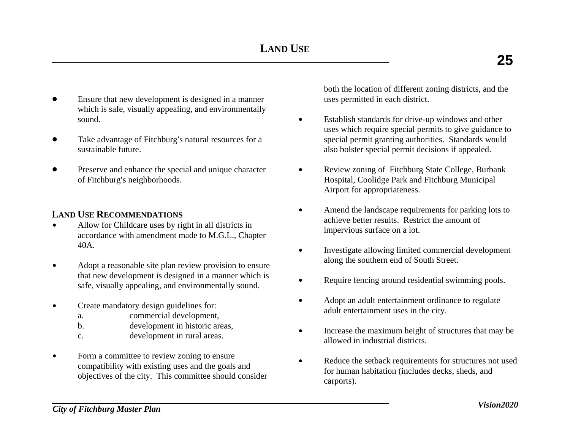- ! Ensure that new development is designed in a manner which is safe, visually appealing, and environmentally sound.
- Take advantage of Fitchburg's natural resources for a sustainable future.
- ! Preserve and enhance the special and unique character of Fitchburg's neighborhoods.

# **LAND USE RECOMMENDATIONS**

- $\bullet$  Allow for Childcare uses by right in all districts in accordance with amendment made to M.G.L., Chapter 40A.
- $\bullet$  Adopt a reasonable site plan review provision to ensure that new development is designed in a manner which is safe, visually appealing, and environmentally sound.
- $\bullet$  Create mandatory design guidelines for:
	- a. commercial development,
	- b. development in historic areas,
	- c. development in rural areas.
- $\bullet$  Form a committee to review zoning to ensure compatibility with existing uses and the goals and objectives of the city. This committee should consider

both the location of different zoning districts, and the uses permitted in each district.

- $\bullet$  Establish standards for drive-up windows and other uses which require special permits to give guidance to special permit granting authorities. Standards would also bolster special permit decisions if appealed.
- $\bullet$  Review zoning of Fitchburg State College, Burbank Hospital, Coolidge Park and Fitchburg Municipal Airport for appropriateness.
- $\bullet$  Amend the landscape requirements for parking lots to achieve better results. Restrict the amount of impervious surface on a lot.
- $\bullet$  Investigate allowing limited commercial development along the southern end of South Street.
- $\bullet$ Require fencing around residential swimming pools.
- $\bullet$  Adopt an adult entertainment ordinance to regulate adult entertainment uses in the city.
- $\bullet$  Increase the maximum height of structures that may be allowed in industrial districts.
- $\bullet$  Reduce the setback requirements for structures not used for human habitation (includes decks, sheds, and carports).